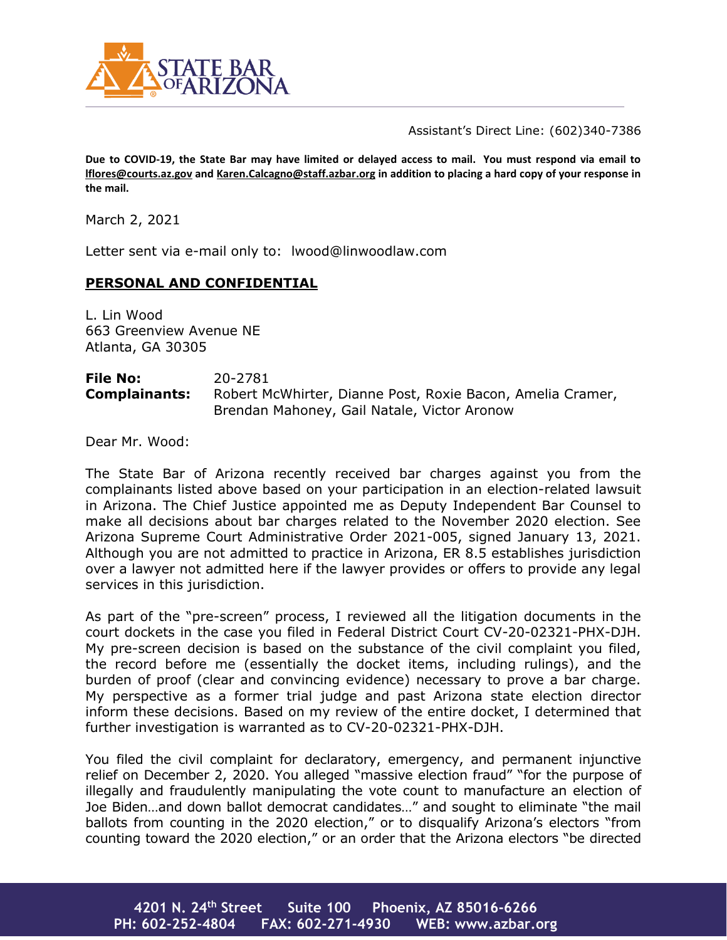

Assistant's Direct Line: (602)340-7386

**Due to COVID-19, the State Bar may have limited or delayed access to mail. You must respond via email to [lflores@courts.az.gov](mailto:lflores@courts.az.gov) an[d Karen.Calcagno@staff.azbar.org](mailto:Karen.Calcagno@staff.azbar.org) in addition to placing a hard copy of your response in the mail.**

March 2, 2021

Letter sent via e-mail only to: lwood@linwoodlaw.com

## **PERSONAL AND CONFIDENTIAL**

L. Lin Wood 663 Greenview Avenue NE Atlanta, GA 30305

**File No:** 20-2781 **Complainants:** Robert McWhirter, Dianne Post, Roxie Bacon, Amelia Cramer, Brendan Mahoney, Gail Natale, Victor Aronow

Dear Mr. Wood:

The State Bar of Arizona recently received bar charges against you from the complainants listed above based on your participation in an election-related lawsuit in Arizona. The Chief Justice appointed me as Deputy Independent Bar Counsel to make all decisions about bar charges related to the November 2020 election. See Arizona Supreme Court Administrative Order 2021-005, signed January 13, 2021. Although you are not admitted to practice in Arizona, ER 8.5 establishes jurisdiction over a lawyer not admitted here if the lawyer provides or offers to provide any legal services in this jurisdiction.

As part of the "pre-screen" process, I reviewed all the litigation documents in the court dockets in the case you filed in Federal District Court CV-20-02321-PHX-DJH. My pre-screen decision is based on the substance of the civil complaint you filed, the record before me (essentially the docket items, including rulings), and the burden of proof (clear and convincing evidence) necessary to prove a bar charge. My perspective as a former trial judge and past Arizona state election director inform these decisions. Based on my review of the entire docket, I determined that further investigation is warranted as to CV-20-02321-PHX-DJH.

You filed the civil complaint for declaratory, emergency, and permanent injunctive relief on December 2, 2020. You alleged "massive election fraud" "for the purpose of illegally and fraudulently manipulating the vote count to manufacture an election of Joe Biden…and down ballot democrat candidates…" and sought to eliminate "the mail ballots from counting in the 2020 election," or to disqualify Arizona's electors "from counting toward the 2020 election," or an order that the Arizona electors "be directed

**4201 N. 24th Street Suite 100 Phoenix, AZ 85016-6266 PH: 602-252-4804 FAX: 602-271-4930 WEB: www.azbar.org**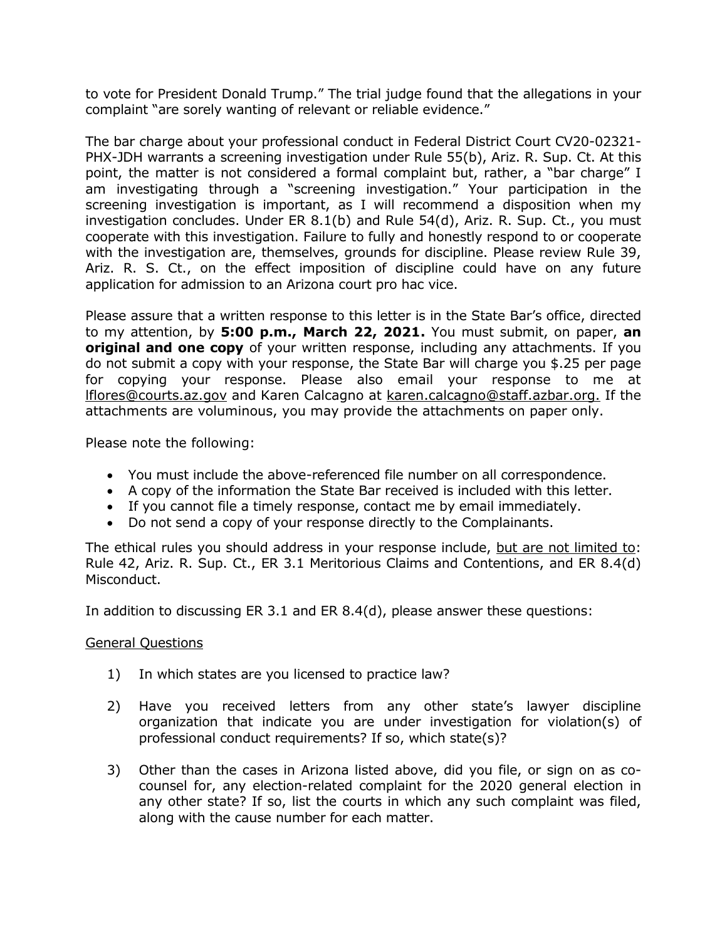to vote for President Donald Trump." The trial judge found that the allegations in your complaint "are sorely wanting of relevant or reliable evidence."

The bar charge about your professional conduct in Federal District Court CV20-02321- PHX-JDH warrants a screening investigation under Rule 55(b), Ariz. R. Sup. Ct. At this point, the matter is not considered a formal complaint but, rather, a "bar charge" I am investigating through a "screening investigation." Your participation in the screening investigation is important, as I will recommend a disposition when my investigation concludes. Under ER 8.1(b) and Rule 54(d), Ariz. R. Sup. Ct., you must cooperate with this investigation. Failure to fully and honestly respond to or cooperate with the investigation are, themselves, grounds for discipline. Please review Rule 39, Ariz. R. S. Ct., on the effect imposition of discipline could have on any future application for admission to an Arizona court pro hac vice.

Please assure that a written response to this letter is in the State Bar's office, directed to my attention, by **5:00 p.m., March 22, 2021.** You must submit, on paper, **an original and one copy** of your written response, including any attachments. If you do not submit a copy with your response, the State Bar will charge you \$.25 per page for copying your response. Please also email your response to me at [lflores@courts.az.gov](mailto:lflores@courts.az.gov) and Karen Calcagno at [karen.calcagno@staff.azbar.org.](mailto:karen.calcagno@staff.azbar.org) If the attachments are voluminous, you may provide the attachments on paper only.

Please note the following:

- You must include the above-referenced file number on all correspondence.
- A copy of the information the State Bar received is included with this letter.
- If you cannot file a timely response, contact me by email immediately.
- Do not send a copy of your response directly to the Complainants.

The ethical rules you should address in your response include, but are not limited to: Rule 42, Ariz. R. Sup. Ct., ER 3.1 Meritorious Claims and Contentions, and ER 8.4(d) Misconduct.

In addition to discussing ER 3.1 and ER 8.4(d), please answer these questions:

## General Questions

- 1) In which states are you licensed to practice law?
- 2) Have you received letters from any other state's lawyer discipline organization that indicate you are under investigation for violation(s) of professional conduct requirements? If so, which state(s)?
- 3) Other than the cases in Arizona listed above, did you file, or sign on as cocounsel for, any election-related complaint for the 2020 general election in any other state? If so, list the courts in which any such complaint was filed, along with the cause number for each matter.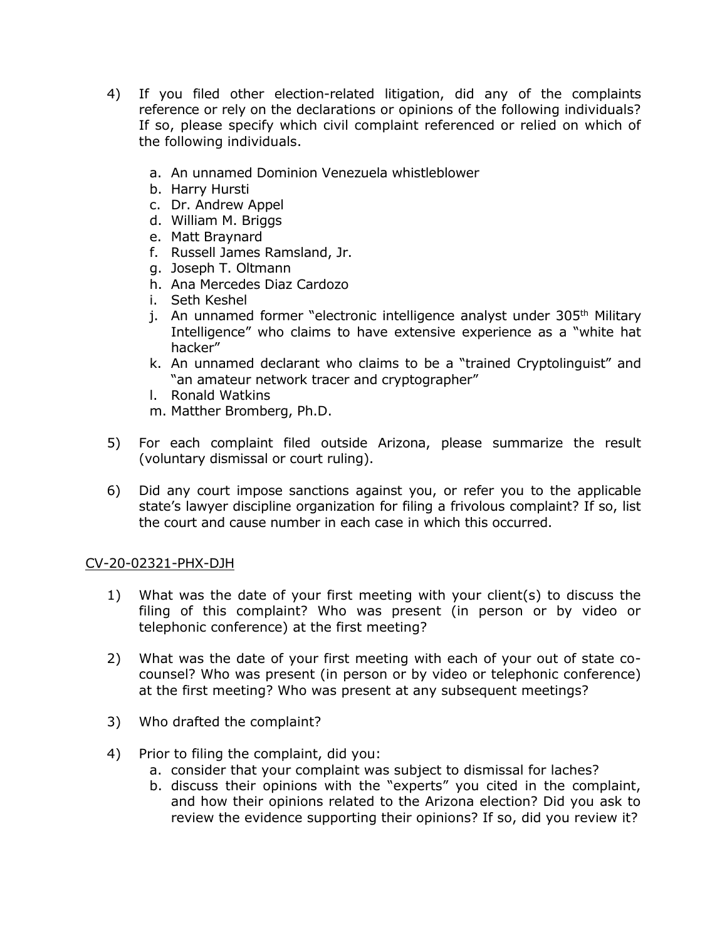- 4) If you filed other election-related litigation, did any of the complaints reference or rely on the declarations or opinions of the following individuals? If so, please specify which civil complaint referenced or relied on which of the following individuals.
	- a. An unnamed Dominion Venezuela whistleblower
	- b. Harry Hursti
	- c. Dr. Andrew Appel
	- d. William M. Briggs
	- e. Matt Braynard
	- f. Russell James Ramsland, Jr.
	- g. Joseph T. Oltmann
	- h. Ana Mercedes Diaz Cardozo
	- i. Seth Keshel
	- j. An unnamed former "electronic intelligence analyst under 305<sup>th</sup> Military Intelligence" who claims to have extensive experience as a "white hat hacker"
	- k. An unnamed declarant who claims to be a "trained Cryptolinguist" and "an amateur network tracer and cryptographer"
	- l. Ronald Watkins
	- m. Matther Bromberg, Ph.D.
- 5) For each complaint filed outside Arizona, please summarize the result (voluntary dismissal or court ruling).
- 6) Did any court impose sanctions against you, or refer you to the applicable state's lawyer discipline organization for filing a frivolous complaint? If so, list the court and cause number in each case in which this occurred.

## CV-20-02321-PHX-DJH

- 1) What was the date of your first meeting with your client(s) to discuss the filing of this complaint? Who was present (in person or by video or telephonic conference) at the first meeting?
- 2) What was the date of your first meeting with each of your out of state cocounsel? Who was present (in person or by video or telephonic conference) at the first meeting? Who was present at any subsequent meetings?
- 3) Who drafted the complaint?
- 4) Prior to filing the complaint, did you:
	- a. consider that your complaint was subject to dismissal for laches?
	- b. discuss their opinions with the "experts" you cited in the complaint, and how their opinions related to the Arizona election? Did you ask to review the evidence supporting their opinions? If so, did you review it?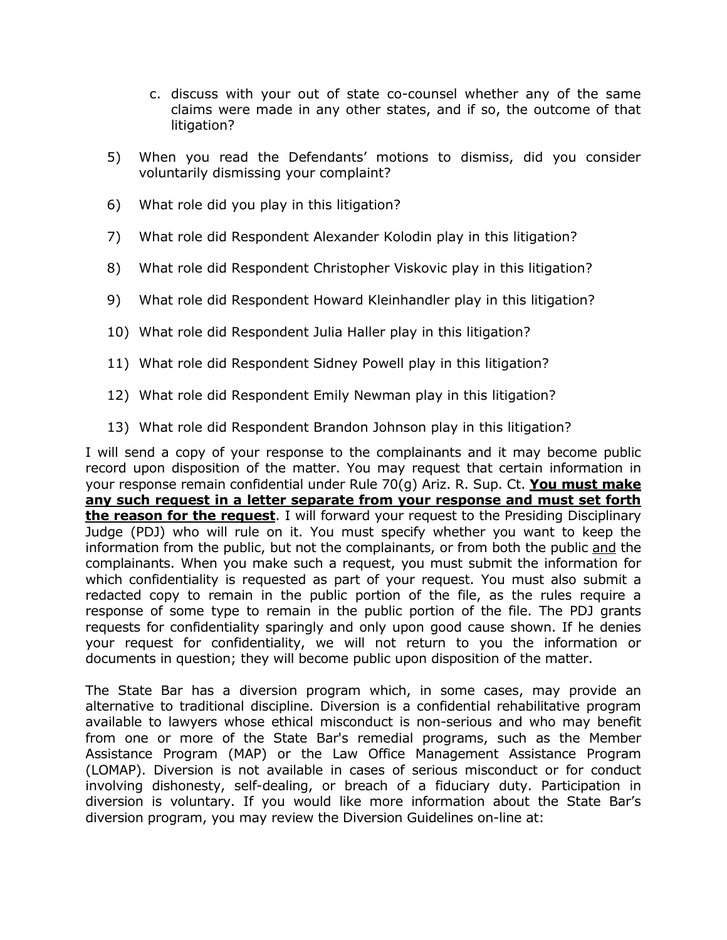- c. discuss with your out of state co-counsel whether any of the same claims were made in any other states, and if so, the outcome of that litigation?
- 5) When you read the Defendants' motions to dismiss, did you consider voluntarily dismissing your complaint?
- 6) What role did you play in this litigation?
- 7) What role did Respondent Alexander Kolodin play in this litigation?
- 8) What role did Respondent Christopher Viskovic play in this litigation?
- 9) What role did Respondent Howard Kleinhandler play in this litigation?
- 10) What role did Respondent Julia Haller play in this litigation?
- 11) What role did Respondent Sidney Powell play in this litigation?
- 12) What role did Respondent Emily Newman play in this litigation?
- 13) What role did Respondent Brandon Johnson play in this litigation?

I will send a copy of your response to the complainants and it may become public record upon disposition of the matter. You may request that certain information in your response remain confidential under Rule 70(g) Ariz. R. Sup. Ct. **You must make any such request in a letter separate from your response and must set forth the reason for the request**. I will forward your request to the Presiding Disciplinary Judge (PDJ) who will rule on it. You must specify whether you want to keep the information from the public, but not the complainants, or from both the public and the complainants. When you make such a request, you must submit the information for which confidentiality is requested as part of your request. You must also submit a redacted copy to remain in the public portion of the file, as the rules require a response of some type to remain in the public portion of the file. The PDJ grants requests for confidentiality sparingly and only upon good cause shown. If he denies your request for confidentiality, we will not return to you the information or documents in question; they will become public upon disposition of the matter.

The State Bar has a diversion program which, in some cases, may provide an alternative to traditional discipline. Diversion is a confidential rehabilitative program available to lawyers whose ethical misconduct is non-serious and who may benefit from one or more of the State Bar's remedial programs, such as the Member Assistance Program (MAP) or the Law Office Management Assistance Program (LOMAP). Diversion is not available in cases of serious misconduct or for conduct involving dishonesty, self-dealing, or breach of a fiduciary duty. Participation in diversion is voluntary. If you would like more information about the State Bar's diversion program, you may review the Diversion Guidelines on-line at: